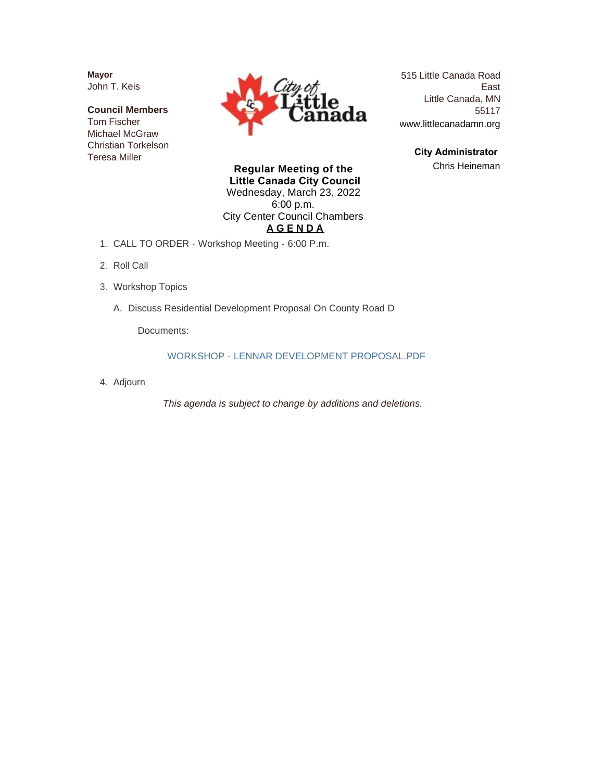**Mayor** John T. Keis

**Council Members** Tom Fischer Michael McGraw Christian Torkelson Teresa Miller



515 Little Canada Road East Little Canada, MN 55117 www.littlecanadamn.org

> **City Administrator**  Chris Heineman

**Regular Meeting of the Little Canada City Council** Wednesday, March 23, 2022 6:00 p.m. City Center Council Chambers **A G E N D A**

- CALL TO ORDER Workshop Meeting 6:00 P.m. 1.
- 2. Roll Call
- Workshop Topics 3.
	- A. Discuss Residential Development Proposal On County Road D

Documents:

WORKSHOP - LENNAR DEVELOPMENT PROPOSAL.PDF

Adjourn 4.

*This agenda is subject to change by additions and deletions.*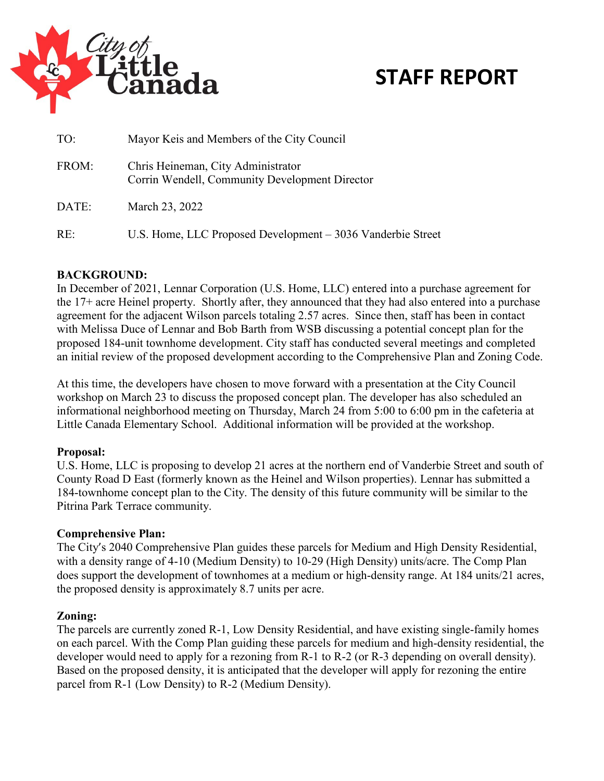

# **STAFF REPORT**

| TO:   | Mayor Keis and Members of the City Council                                           |  |  |  |  |
|-------|--------------------------------------------------------------------------------------|--|--|--|--|
| FROM: | Chris Heineman, City Administrator<br>Corrin Wendell, Community Development Director |  |  |  |  |
| DATE: | March 23, 2022                                                                       |  |  |  |  |
| RE:   | U.S. Home, LLC Proposed Development – 3036 Vanderbie Street                          |  |  |  |  |

### **BACKGROUND:**

In December of 2021, Lennar Corporation (U.S. Home, LLC) entered into a purchase agreement for the 17+ acre Heinel property. Shortly after, they announced that they had also entered into a purchase agreement for the adjacent Wilson parcels totaling 2.57 acres. Since then, staff has been in contact with Melissa Duce of Lennar and Bob Barth from WSB discussing a potential concept plan for the proposed 184-unit townhome development. City staff has conducted several meetings and completed an initial review of the proposed development according to the Comprehensive Plan and Zoning Code.

At this time, the developers have chosen to move forward with a presentation at the City Council workshop on March 23 to discuss the proposed concept plan. The developer has also scheduled an informational neighborhood meeting on Thursday, March 24 from 5:00 to 6:00 pm in the cafeteria at Little Canada Elementary School. Additional information will be provided at the workshop.

#### **Proposal:**

U.S. Home, LLC is proposing to develop 21 acres at the northern end of Vanderbie Street and south of County Road D East (formerly known as the Heinel and Wilson properties). Lennar has submitted a 184-townhome concept plan to the City. The density of this future community will be similar to the Pitrina Park Terrace community.

#### **Comprehensive Plan:**

The City's 2040 Comprehensive Plan guides these parcels for Medium and High Density Residential, with a density range of 4-10 (Medium Density) to 10-29 (High Density) units/acre. The Comp Plan does support the development of townhomes at a medium or high-density range. At 184 units/21 acres, the proposed density is approximately 8.7 units per acre.

#### **Zoning:**

The parcels are currently zoned R-1, Low Density Residential, and have existing single-family homes on each parcel. With the Comp Plan guiding these parcels for medium and high-density residential, the developer would need to apply for a rezoning from R-1 to R-2 (or R-3 depending on overall density). Based on the proposed density, it is anticipated that the developer will apply for rezoning the entire parcel from R-1 (Low Density) to R-2 (Medium Density).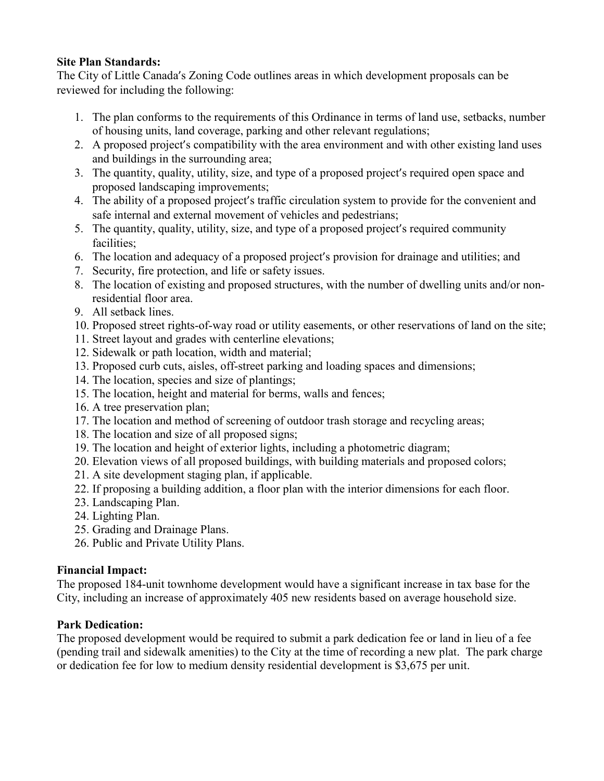#### **Site Plan Standards:**

The City of Little Canada's Zoning Code outlines areas in which development proposals can be reviewed for including the following:

- 1. The plan conforms to the requirements of this Ordinance in terms of land use, setbacks, number of housing units, land coverage, parking and other relevant regulations;
- 2. A proposed project's compatibility with the area environment and with other existing land uses and buildings in the surrounding area;
- 3. The quantity, quality, utility, size, and type of a proposed project's required open space and proposed landscaping improvements;
- 4. The ability of a proposed project's traffic circulation system to provide for the convenient and safe internal and external movement of vehicles and pedestrians;
- 5. The quantity, quality, utility, size, and type of a proposed project's required community facilities;
- 6. The location and adequacy of a proposed project's provision for drainage and utilities; and
- 7. Security, fire protection, and life or safety issues.
- 8. The location of existing and proposed structures, with the number of dwelling units and/or nonresidential floor area.
- 9. All setback lines.
- 10. Proposed street rights-of-way road or utility easements, or other reservations of land on the site;
- 11. Street layout and grades with centerline elevations;
- 12. Sidewalk or path location, width and material;
- 13. Proposed curb cuts, aisles, off-street parking and loading spaces and dimensions;
- 14. The location, species and size of plantings;
- 15. The location, height and material for berms, walls and fences;
- 16. A tree preservation plan;
- 17. The location and method of screening of outdoor trash storage and recycling areas;
- 18. The location and size of all proposed signs;
- 19. The location and height of exterior lights, including a photometric diagram;
- 20. Elevation views of all proposed buildings, with building materials and proposed colors;
- 21. A site development staging plan, if applicable.
- 22. If proposing a building addition, a floor plan with the interior dimensions for each floor.
- 23. Landscaping Plan.
- 24. Lighting Plan.
- 25. Grading and Drainage Plans.
- 26. Public and Private Utility Plans.

#### **Financial Impact:**

The proposed 184-unit townhome development would have a significant increase in tax base for the City, including an increase of approximately 405 new residents based on average household size.

## **Park Dedication:**

The proposed development would be required to submit a park dedication fee or land in lieu of a fee (pending trail and sidewalk amenities) to the City at the time of recording a new plat. The park charge or dedication fee for low to medium density residential development is \$3,675 per unit.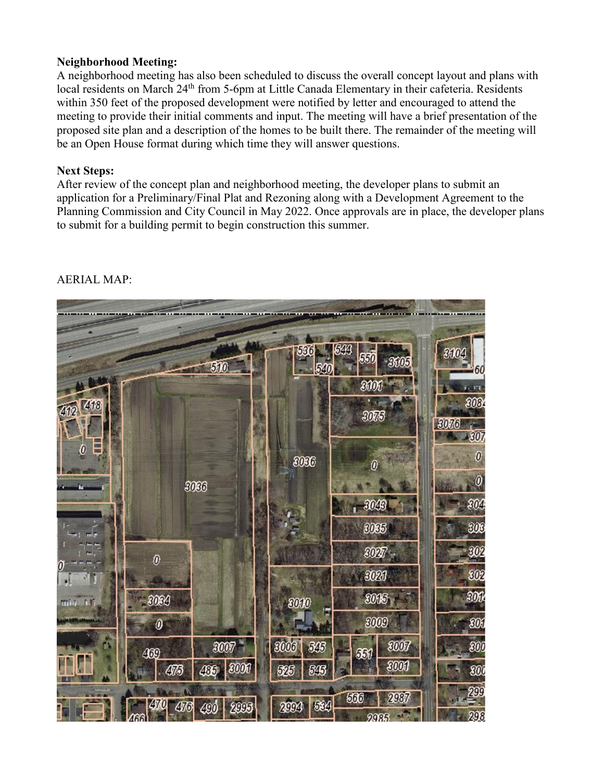#### **Neighborhood Meeting:**

A neighborhood meeting has also been scheduled to discuss the overall concept layout and plans with local residents on March 24<sup>th</sup> from 5-6pm at Little Canada Elementary in their cafeteria. Residents within 350 feet of the proposed development were notified by letter and encouraged to attend the meeting to provide their initial comments and input. The meeting will have a brief presentation of the proposed site plan and a description of the homes to be built there. The remainder of the meeting will be an Open House format during which time they will answer questions.

#### **Next Steps:**

After review of the concept plan and neighborhood meeting, the developer plans to submit an application for a Preliminary/Final Plat and Rezoning along with a Development Agreement to the Planning Commission and City Council in May 2022. Once approvals are in place, the developer plans to submit for a building permit to begin construction this summer.

|                  |                       | 510         | 536<br>540          | 544<br>550<br>-3605       | 3104<br>$=60$                                  |
|------------------|-----------------------|-------------|---------------------|---------------------------|------------------------------------------------|
|                  |                       |             |                     | M                         | 0.55                                           |
| 7418<br>412      |                       |             |                     | 3075                      | 808<br>3076<br>$-30$                           |
| Ε<br>0<br>E      |                       | 3066        | 8086                | $\boldsymbol{\theta}$     | $\boldsymbol{\theta}$<br>$\boldsymbol{\theta}$ |
|                  |                       |             |                     | 3048                      | W                                              |
|                  |                       |             |                     | 3035                      | W                                              |
|                  | $\boldsymbol{\theta}$ |             |                     | 3027                      | W                                              |
| Ω.<br>√T<br>al i |                       |             |                     | 3021                      | W                                              |
| mar 16           | 3064                  |             | $\boldsymbol{3000}$ | 3066                      | W                                              |
|                  | $\pmb{\theta}$        |             |                     | 3009                      | W                                              |
|                  | 400                   | 3007        | 3006<br>545         | 3007<br>M                 | W                                              |
|                  | 475                   | 436 3000    | 526<br>845          | 3000                      | W                                              |
|                  | 470<br>476            | 2005<br>490 | 534<br>2004         | 2987<br>566<br>$900R - 1$ | 200<br>298                                     |

# AERIAL MAP: